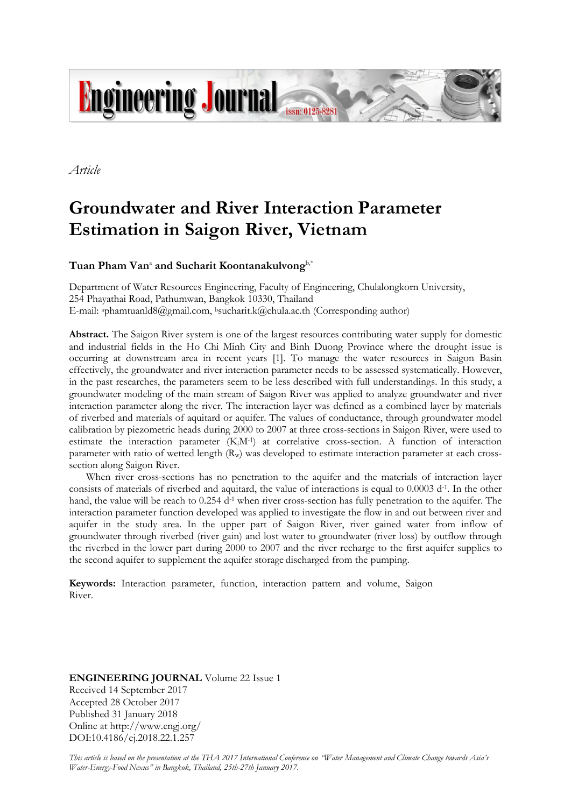

*Article*

# **Groundwater and River Interaction Parameter Estimation in Saigon River, Vietnam**

 $\boldsymbol{\mathrm{T}}$ uan  $\boldsymbol{\mathrm{P}}$ ham  $\boldsymbol{\mathrm{Van}}^{\text{a}}$  and  $\boldsymbol{\mathrm{Sucharit}}$  Koontanakulvong<sup>b,\*</sup>

Department of Water Resources Engineering, Faculty of Engineering, Chulalongkorn University, 254 Phayathai Road, Pathumwan, Bangkok 10330, Thailand E-mail: <sup>a</sup>phamtuanld8@gmail.com, <sup>b</sup>sucharit.k@chula.ac.th (Corresponding author)

**Abstract.** The Saigon River system is one of the largest resources contributing water supply for domestic and industrial fields in the Ho Chi Minh City and Binh Duong Province where the drought issue is occurring at downstream area in recent years [1]. To manage the water resources in Saigon Basin effectively, the groundwater and river interaction parameter needs to be assessed systematically. However, in the past researches, the parameters seem to be less described with full understandings. In this study, a groundwater modeling of the main stream of Saigon River was applied to analyze groundwater and river interaction parameter along the river. The interaction layer was defined as a combined layer by materials of riverbed and materials of aquitard or aquifer. The values of conductance, through groundwater model calibration by piezometric heads during 2000 to 2007 at three cross-sections in Saigon River, were used to estimate the interaction parameter (K<sub>i</sub>M<sup>-1</sup>) at correlative cross-section. A function of interaction parameter with ratio of wetted length  $(R_w)$  was developed to estimate interaction parameter at each crosssection along Saigon River.

When river cross-sections has no penetration to the aquifer and the materials of interaction layer consists of materials of riverbed and aquitard, the value of interactions is equal to 0.0003 d<sup>-1</sup>. In the other hand, the value will be reach to  $0.254$  d<sup>-1</sup> when river cross-section has fully penetration to the aquifer. The interaction parameter function developed was applied to investigate the flow in and out between river and aquifer in the study area. In the upper part of Saigon River, river gained water from inflow of groundwater through riverbed (river gain) and lost water to groundwater (river loss) by outflow through the riverbed in the lower part during 2000 to 2007 and the river recharge to the first aquifer supplies to the second aquifer to supplement the aquifer storage discharged from the pumping.

**Keywords:** Interaction parameter, function, interaction pattern and volume, Saigon River.

**ENGINEERING JOURNAL** Volume 22 Issue 1 Received 14 September 2017 Accepted 28 October 2017 Published 31 January 2018 Online at http://www.engj.org/ DOI:10.4186/ej.2018.22.1.257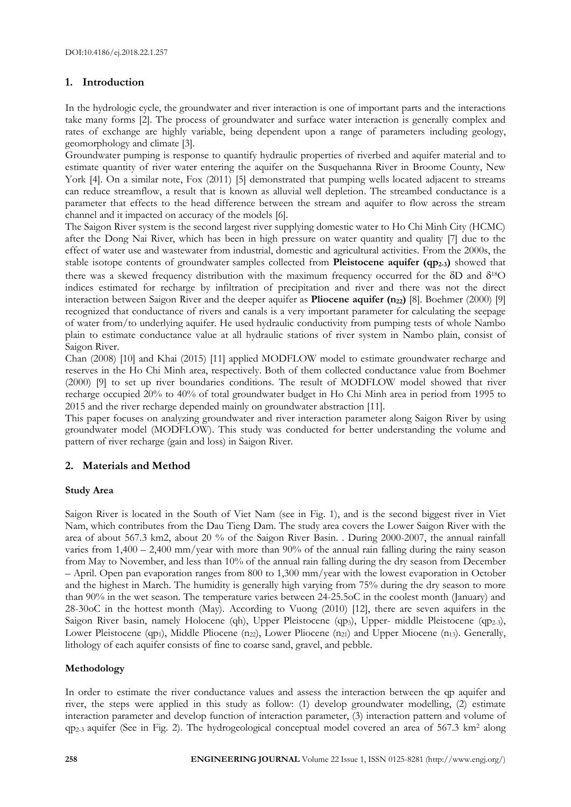## **1. Introduction**

In the hydrologic cycle, the groundwater and river interaction is one of important parts and the interactions take many forms [2]. The process of groundwater and surface water interaction is generally complex and rates of exchange are highly variable, being dependent upon a range of parameters including geology, geomorphology and climate [3].

Groundwater pumping is response to quantify hydraulic properties of riverbed and aquifer material and to estimate quantity of river water entering the aquifer on the Susquehanna River in Broome County, New York [4]. On a similar note, Fox (2011) [5] demonstrated that pumping wells located adjacent to streams can reduce streamflow, a result that is known as alluvial well depletion. The streambed conductance is a parameter that effects to the head difference between the stream and aquifer to flow across the stream channel and it impacted on accuracy of the models [6].

The Saigon River system is the second largest river supplying domestic water to Ho Chi Minh City (HCMC) after the Dong Nai River, which has been in high pressure on water quantity and quality [7] due to the effect of water use and wastewater from industrial, domestic and agricultural activities. From the 2000s, the stable isotope contents of groundwater samples collected from **Pleistocene aquifer (qp2-3)** showed that there was a skewed frequency distribution with the maximum frequency occurred for the  $\delta D$  and  $\delta^{18}O$ indices estimated for recharge by infiltration of precipitation and river and there was not the direct interaction between Saigon River and the deeper aquifer as **Pliocene aquifer (n22)** [8]. Boehmer (2000) [9] recognized that conductance of rivers and canals is a very important parameter for calculating the seepage of water from/to underlying aquifer. He used hydraulic conductivity from pumping tests of whole Nambo plain to estimate conductance value at all hydraulic stations of river system in Nambo plain, consist of Saigon River.

Chan (2008) [10] and Khai (2015) [11] applied MODFLOW model to estimate groundwater recharge and reserves in the Ho Chi Minh area, respectively. Both of them collected conductance value from Boehmer (2000) [9] to set up river boundaries conditions. The result of MODFLOW model showed that river recharge occupied 20% to 40% of total groundwater budget in Ho Chi Minh area in period from 1995 to 2015 and the river recharge depended mainly on groundwater abstraction [11].

This paper focuses on analyzing groundwater and river interaction parameter along Saigon River by using groundwater model (MODFLOW). This study was conducted for better understanding the volume and pattern of river recharge (gain and loss) in Saigon River.

# **2. Materials and Method**

## **Study Area**

Saigon River is located in the South of Viet Nam (see in Fig. 1), and is the second biggest river in Viet Nam, which contributes from the Dau Tieng Dam. The study area covers the Lower Saigon River with the area of about 567.3 km2, about 20 % of the Saigon River Basin. . During 2000-2007, the annual rainfall varies from 1,400 – 2,400 mm/year with more than 90% of the annual rain falling during the rainy season from May to November, and less than 10% of the annual rain falling during the dry season from December – April. Open pan evaporation ranges from 800 to 1,300 mm/year with the lowest evaporation in October and the highest in March. The humidity is generally high varying from 75% during the dry season to more than 90% in the wet season. The temperature varies between 24-25.5oC in the coolest month (January) and 28-30oC in the hottest month (May). According to Vuong (2010) [12], there are seven aquifers in the Saigon River basin, namely Holocene (qh), Upper Pleistocene (qp<sub>3</sub>), Upper- middle Pleistocene (qp<sub>2-3</sub>), Lower Pleistocene (qp<sub>1</sub>), Middle Pliocene (n<sub>22</sub>), Lower Pliocene (n<sub>21</sub>) and Upper Miocene (n<sub>13</sub>). Generally, lithology of each aquifer consists of fine to coarse sand, gravel, and pebble.

## **Methodology**

In order to estimate the river conductance values and assess the interaction between the qp aquifer and river, the steps were applied in this study as follow: (1) develop groundwater modelling, (2) estimate interaction parameter and develop function of interaction parameter, (3) interaction pattern and volume of qp2-3 aquifer (See in Fig. 2). The hydrogeological conceptual model covered an area of 567.3 km<sup>2</sup> along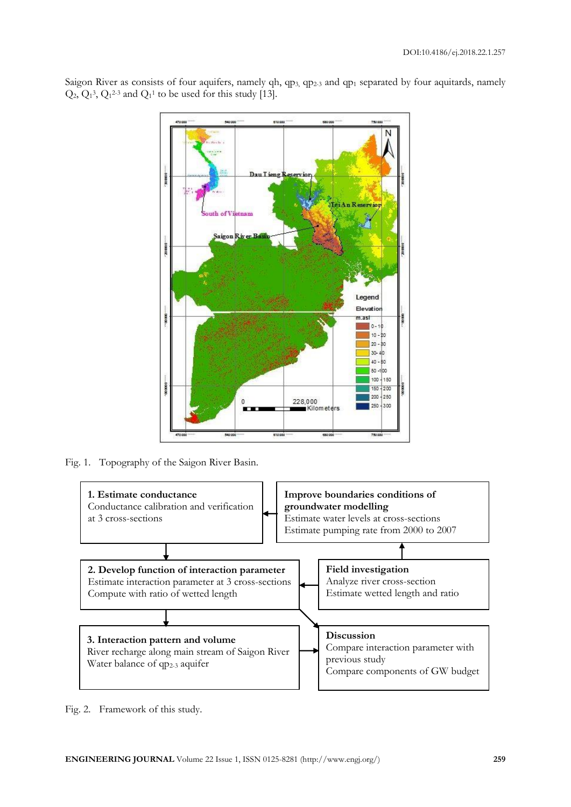Saigon River as consists of four aquifers, namely qh, qp<sub>3</sub>, qp<sub>2-3</sub> and qp<sub>1</sub> separated by four aquitards, namely  $Q_2$ ,  $Q_1^3$ ,  $Q_1^{2-3}$  and  $Q_1^1$  to be used for this study [13].



Fig. 1. Topography of the Saigon River Basin.



Fig. 2. Framework of this study.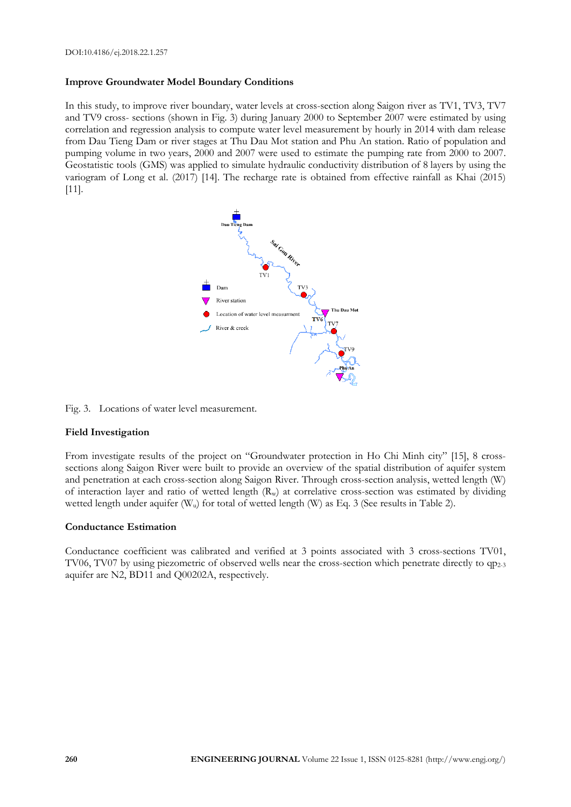### **Improve Groundwater Model Boundary Conditions**

In this study, to improve river boundary, water levels at cross-section along Saigon river as TV1, TV3, TV7 and TV9 cross- sections (shown in Fig. 3) during January 2000 to September 2007 were estimated by using correlation and regression analysis to compute water level measurement by hourly in 2014 with dam release from Dau Tieng Dam or river stages at Thu Dau Mot station and Phu An station. Ratio of population and pumping volume in two years, 2000 and 2007 were used to estimate the pumping rate from 2000 to 2007. Geostatistic tools (GMS) was applied to simulate hydraulic conductivity distribution of 8 layers by using the variogram of Long et al. (2017) [14]. The recharge rate is obtained from effective rainfall as Khai (2015) [11].



Fig. 3. Locations of water level measurement.

#### **Field Investigation**

From investigate results of the project on "Groundwater protection in Ho Chi Minh city" [15], 8 crosssections along Saigon River were built to provide an overview of the spatial distribution of aquifer system and penetration at each cross-section along Saigon River. Through cross-section analysis, wetted length (W) of interaction layer and ratio of wetted length  $(R_w)$  at correlative cross-section was estimated by dividing wetted length under aquifer (W<sub>u</sub>) for total of wetted length (W) as Eq. 3 (See results in Table 2).

#### **Conductance Estimation**

Conductance coefficient was calibrated and verified at 3 points associated with 3 cross-sections TV01, TV06, TV07 by using piezometric of observed wells near the cross-section which penetrate directly to qp<sub>2-3</sub> aquifer are N2, BD11 and Q00202A, respectively.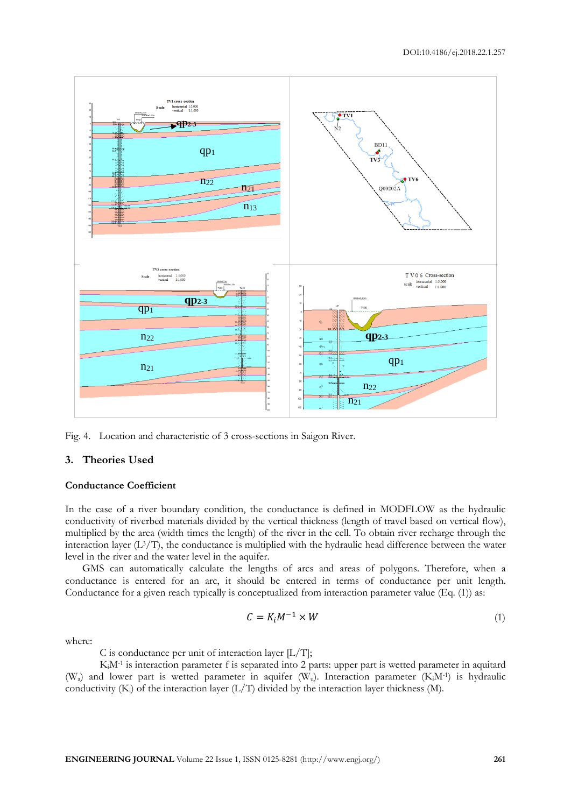

Fig. 4. Location and characteristic of 3 cross-sections in Saigon River.

#### **3. Theories Used**

#### **Conductance Coefficient**

In the case of a river boundary condition, the conductance is defined in MODFLOW as the hydraulic conductivity of riverbed materials divided by the vertical thickness (length of travel based on vertical flow), multiplied by the area (width times the length) of the river in the cell. To obtain river recharge through the interaction layer  $(L<sup>3</sup>/T)$ , the conductance is multiplied with the hydraulic head difference between the water level in the river and the water level in the aquifer.

GMS can automatically calculate the lengths of arcs and areas of polygons. Therefore, when a conductance is entered for an arc, it should be entered in terms of conductance per unit length. Conductance for a given reach typically is conceptualized from interaction parameter value (Eq. (1)) as:

$$
C = K_i M^{-1} \times W \tag{1}
$$

where:

C is conductance per unit of interaction layer  $[L/T]$ ;

KiM-1 is interaction parameter f is separated into 2 parts: upper part is wetted parameter in aquitard (Wa) and lower part is wetted parameter in aquifer (Wu). Interaction parameter (KiM-1 ) is hydraulic conductivity  $(K_i)$  of the interaction layer  $(L/T)$  divided by the interaction layer thickness  $(M)$ .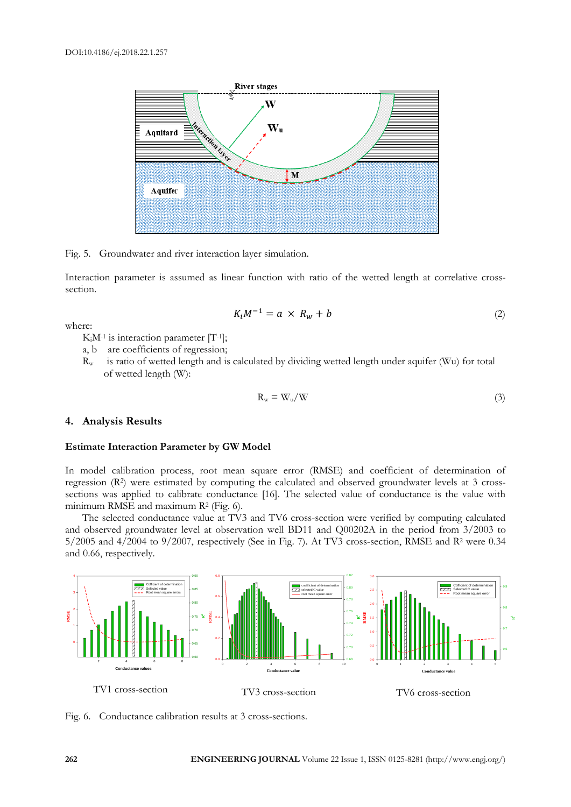

Fig. 5. Groundwater and river interaction layer simulation.

Interaction parameter is assumed as linear function with ratio of the wetted length at correlative crosssection.

$$
K_i M^{-1} = a \times R_w + b \tag{2}
$$

where:

KiM-1 is interaction parameter [T-1 ];

- a, b are coefficients of regression;
- $R_w$  is ratio of wetted length and is calculated by dividing wetted length under aquifer (Wu) for total of wetted length (W):

$$
R_w = W_u/W \tag{3}
$$

#### **4. Analysis Results**

#### **Estimate Interaction Parameter by GW Model**

In model calibration process, root mean square error (RMSE) and coefficient of determination of regression (R<sup>2</sup> ) were estimated by computing the calculated and observed groundwater levels at 3 crosssections was applied to calibrate conductance [16]. The selected value of conductance is the value with minimum RMSE and maximum R<sup>2</sup> (Fig. 6).

The selected conductance value at TV3 and TV6 cross-section were verified by computing calculated and observed groundwater level at observation well BD11 and Q00202A in the period from 3/2003 to  $5/2005$  and  $4/2004$  to  $9/2007$ , respectively (See in Fig. 7). At TV3 cross-section, RMSE and R<sup>2</sup> were 0.34 and 0.66, respectively.



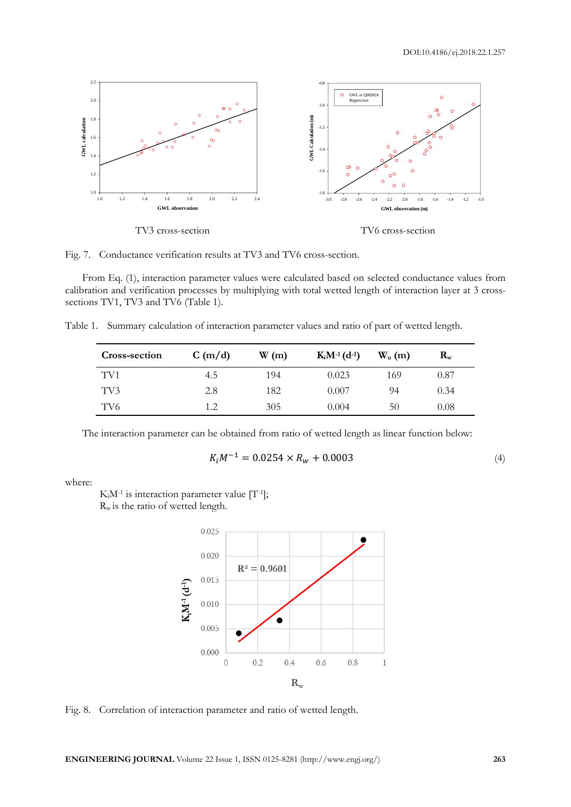

Fig. 7. Conductance verification results at TV3 and TV6 cross-section.

From Eq. (1), interaction parameter values were calculated based on selected conductance values from calibration and verification processes by multiplying with total wetted length of interaction layer at 3 crosssections TV1, TV3 and TV6 (Table 1).

Table 1. Summary calculation of interaction parameter values and ratio of part of wetted length.

| <b>Cross-section</b> | C(m/d) | W(m) | $K_iM^{-1}(d^{-1})$ | $W_{u}$ (m) | $\mathbf{R}_{\mathbf{w}}$ |  |
|----------------------|--------|------|---------------------|-------------|---------------------------|--|
| TV1                  | 4.5    | 194  | 0.023               | 169         | 0.87                      |  |
| TV3                  | 2.8    | 182  | 0.007               | 94          | 0.34                      |  |
| TV6                  | 1.2    | 305  | 0.004               | 50          | $0.08\,$                  |  |

The interaction parameter can be obtained from ratio of wetted length as linear function below:

$$
K_i M^{-1} = 0.0254 \times R_w + 0.0003
$$
\n<sup>(4)</sup>

where:

KiM-1 is interaction parameter value [T-1 ];

R<sup>w</sup> is the ratio of wetted length.



Fig. 8. Correlation of interaction parameter and ratio of wetted length.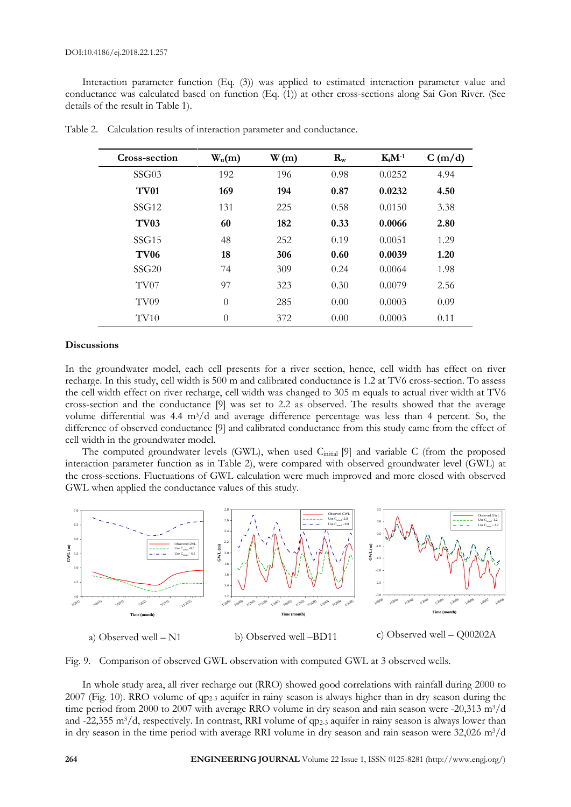Interaction parameter function (Eq. (3)) was applied to estimated interaction parameter value and conductance was calculated based on function (Eq. (1)) at other cross-sections along Sai Gon River. (See details of the result in Table 1).

| Cross-section    | $W_u(m)$ | W(m) | $\mathbf{R}_{\rm w}$ | $K_iM^{-1}$ | C(m/d) |
|------------------|----------|------|----------------------|-------------|--------|
| SSG03            | 192      | 196  | 0.98                 | 0.0252      | 4.94   |
| <b>TV01</b>      | 169      | 194  | 0.87                 | 0.0232      | 4.50   |
| SSG12            | 131      | 225  | 0.58                 | 0.0150      | 3.38   |
| <b>TV03</b>      | 60       | 182  | 0.33                 | 0.0066      | 2.80   |
| SSG15            | 48       | 252  | 0.19                 | 0.0051      | 1.29   |
| <b>TV06</b>      | 18       | 306  | 0.60                 | 0.0039      | 1.20   |
| SSG20            | 74       | 309  | 0.24                 | 0.0064      | 1.98   |
| TV07             | 97       | 323  | 0.30                 | 0.0079      | 2.56   |
| TV <sub>09</sub> | $\theta$ | 285  | 0.00                 | 0.0003      | 0.09   |
| TV <sub>10</sub> | $\theta$ | 372  | 0.00                 | 0.0003      | 0.11   |

Table 2. Calculation results of interaction parameter and conductance.

#### **Discussions**

In the groundwater model, each cell presents for a river section, hence, cell width has effect on river recharge. In this study, cell width is 500 m and calibrated conductance is 1.2 at TV6 cross-section. To assess the cell width effect on river recharge, cell width was changed to 305 m equals to actual river width at TV6 cross-section and the conductance [9] was set to 2.2 as observed. The results showed that the average volume differential was  $4.4 \text{ m}^3/\text{d}$  and average difference percentage was less than 4 percent. So, the difference of observed conductance [9] and calibrated conductance from this study came from the effect of cell width in the groundwater model.

The computed groundwater levels (GWL), when used Cinitial [9] and variable C (from the proposed interaction parameter function as in Table 2), were compared with observed groundwater level (GWL) at the cross-sections. Fluctuations of GWL calculation were much improved and more closed with observed GWL when applied the conductance values of this study.



Fig. 9. Comparison of observed GWL observation with computed GWL at 3 observed wells.

In whole study area, all river recharge out (RRO) showed good correlations with rainfall during 2000 to 2007 (Fig. 10). RRO volume of qp2-3 aquifer in rainy season is always higher than in dry season during the time period from 2000 to 2007 with average RRO volume in dry season and rain season were -20,313 m<sup>3</sup>/d and -22,355 m<sup>3</sup>/d, respectively. In contrast, RRI volume of qp<sub>2-3</sub> aquifer in rainy season is always lower than in dry season in the time period with average RRI volume in dry season and rain season were 32,026 m<sup>3</sup>/d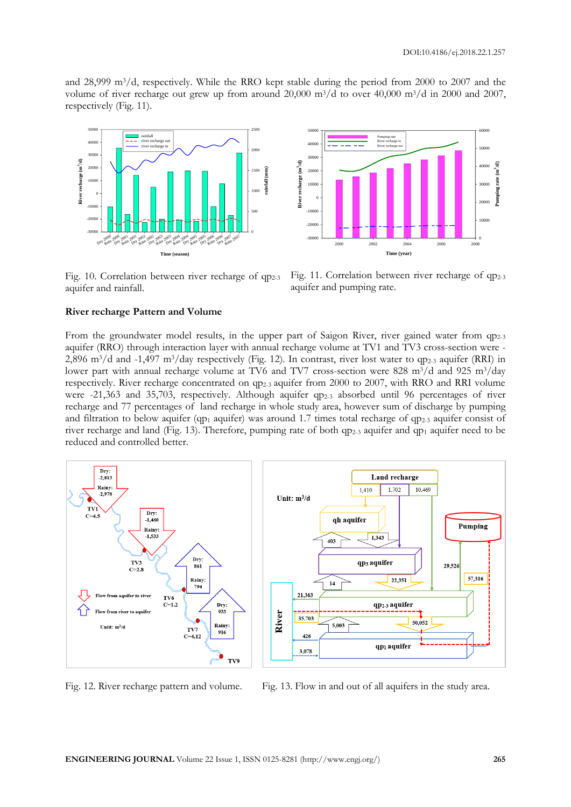and 28,999 m3/d, respectively. While the RRO kept stable during the period from 2000 to 2007 and the volume of river recharge out grew up from around  $20,000$  m<sup>3</sup>/d to over  $40,000$  m<sup>3</sup>/d in 2000 and 2007, respectively (Fig. 11).



Fig. 10. Correlation between river recharge of qp<sub>2-3</sub> aquifer and rainfall.



Fig. 11. Correlation between river recharge of qp<sub>2-3</sub> aquifer and pumping rate.

#### **River recharge Pattern and Volume**

From the groundwater model results, in the upper part of Saigon River, river gained water from qp<sub>2-3</sub> aquifer (RRO) through interaction layer with annual recharge volume at TV1 and TV3 cross-section were - 2,896 m<sup>3</sup>/d and -1,497 m<sup>3</sup>/day respectively (Fig. 12). In contrast, river lost water to qp<sub>2-3</sub> aquifer (RRI) in lower part with annual recharge volume at TV6 and TV7 cross-section were 828 m<sup>3</sup>/d and 925 m<sup>3</sup>/day respectively. River recharge concentrated on qp2-3 aquifer from 2000 to 2007, with RRO and RRI volume were -21,363 and 35,703, respectively. Although aquifer qp<sub>2-3</sub> absorbed until 96 percentages of river recharge and 77 percentages of land recharge in whole study area, however sum of discharge by pumping and filtration to below aquifer (qp<sub>1</sub> aquifer) was around 1.7 times total recharge of qp<sub>2-3</sub> aquifer consist of river recharge and land (Fig. 13). Therefore, pumping rate of both qp2-3 aquifer and qp<sup>1</sup> aquifer need to be reduced and controlled better.



Fig. 12. River recharge pattern and volume. Fig. 13. Flow in and out of all aquifers in the study area.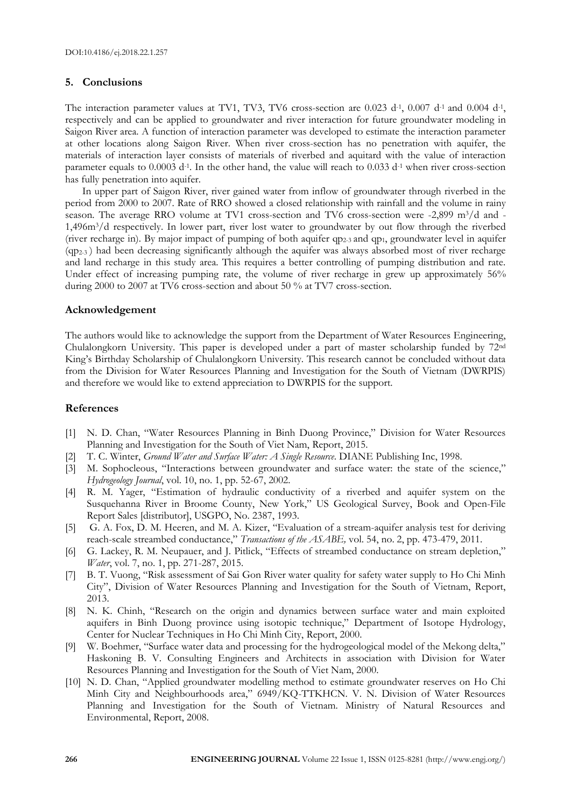#### **5. Conclusions**

The interaction parameter values at TV1, TV3, TV6 cross-section are  $0.023$  d<sup>-1</sup>,  $0.007$  d<sup>-1</sup> and  $0.004$  d<sup>-1</sup>, respectively and can be applied to groundwater and river interaction for future groundwater modeling in Saigon River area. A function of interaction parameter was developed to estimate the interaction parameter at other locations along Saigon River. When river cross-section has no penetration with aquifer, the materials of interaction layer consists of materials of riverbed and aquitard with the value of interaction parameter equals to 0.0003 d<sup>-1</sup>. In the other hand, the value will reach to 0.033 d<sup>-1</sup> when river cross-section has fully penetration into aquifer.

In upper part of Saigon River, river gained water from inflow of groundwater through riverbed in the period from 2000 to 2007. Rate of RRO showed a closed relationship with rainfall and the volume in rainy season. The average RRO volume at TV1 cross-section and TV6 cross-section were -2,899 m<sup>3</sup>/d and -1,496m3/d respectively. In lower part, river lost water to groundwater by out flow through the riverbed (river recharge in). By major impact of pumping of both aquifer  $qp_{2,3}$  and  $qp_1$ , groundwater level in aquifer  $(qp<sub>2-3</sub>)$  had been decreasing significantly although the aquifer was always absorbed most of river recharge and land recharge in this study area. This requires a better controlling of pumping distribution and rate. Under effect of increasing pumping rate, the volume of river recharge in grew up approximately 56% during 2000 to 2007 at TV6 cross-section and about 50 % at TV7 cross-section.

#### **Acknowledgement**

The authors would like to acknowledge the support from the Department of Water Resources Engineering, Chulalongkorn University. This paper is developed under a part of master scholarship funded by 72nd King's Birthday Scholarship of Chulalongkorn University. This research cannot be concluded without data from the Division for Water Resources Planning and Investigation for the South of Vietnam (DWRPIS) and therefore we would like to extend appreciation to DWRPIS for the support.

#### **References**

- [1] N. D. Chan, "Water Resources Planning in Binh Duong Province," Division for Water Resources Planning and Investigation for the South of Viet Nam, Report, 2015.
- [2] T. C. Winter, *Ground Water and Surface Water: A Single Resource*. DIANE Publishing Inc, 1998.
- [3] M. Sophocleous, "Interactions between groundwater and surface water: the state of the science," *Hydrogeology Journal*, vol. 10, no. 1, pp. 52-67, 2002.
- [4] R. M. Yager, "Estimation of hydraulic conductivity of a riverbed and aquifer system on the Susquehanna River in Broome County, New York," US Geological Survey, Book and Open-File Report Sales [distributor], USGPO, No. 2387, 1993.
- [5] G. A. Fox, D. M. Heeren, and M. A. Kizer, "Evaluation of a stream-aquifer analysis test for deriving reach-scale streambed conductance," *Transactions of the ASABE,* vol. 54, no. 2, pp. 473-479, 2011.
- [6] G. Lackey, R. M. Neupauer, and J. Pitlick, "Effects of streambed conductance on stream depletion," *Water*, vol. 7, no. 1, pp. 271-287, 2015.
- [7] B. T. Vuong, "Risk assessment of Sai Gon River water quality for safety water supply to Ho Chi Minh City", Division of Water Resources Planning and Investigation for the South of Vietnam, Report, 2013.
- [8] N. K. Chinh, "Research on the origin and dynamics between surface water and main exploited aquifers in Binh Duong province using isotopic technique," Department of Isotope Hydrology, Center for Nuclear Techniques in Ho Chi Minh City, Report, 2000.
- [9] W. Boehmer, "Surface water data and processing for the hydrogeological model of the Mekong delta," Haskoning B. V. Consulting Engineers and Architects in association with Division for Water Resources Planning and Investigation for the South of Viet Nam, 2000.
- [10] N. D. Chan, "Applied groundwater modelling method to estimate groundwater reserves on Ho Chi Minh City and Neighbourhoods area," 6949/KQ-TTKHCN. V. N. Division of Water Resources Planning and Investigation for the South of Vietnam. Ministry of Natural Resources and Environmental, Report, 2008.